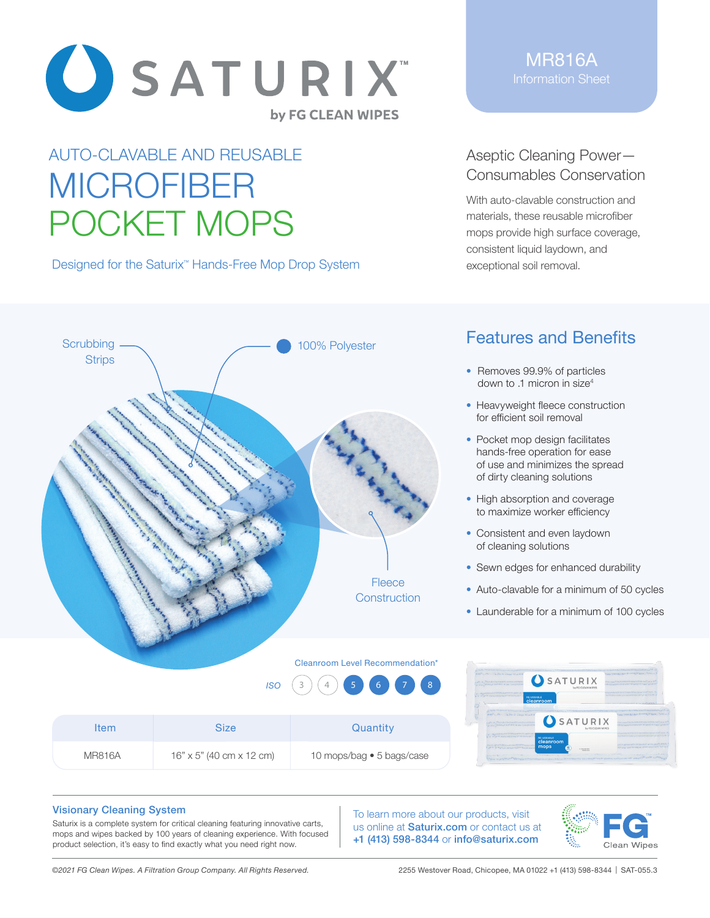

## AUTO-CLAVABLE AND REUSABLE MICROFIBER POCKET MOPS

Designed for the Saturix<sup>™</sup> Hands-Free Mop Drop System

MR816A Information Sheet

Aseptic Cleaning Power— Consumables Conservation

With auto-clavable construction and materials, these reusable microfiber mops provide high surface coverage, consistent liquid laydown, and exceptional soil removal.



## Features and Benefits

- Removes 99.9% of particles down to .1 micron in size4
- Heavyweight fleece construction for efficient soil removal
- Pocket mop design facilitates hands-free operation for ease of use and minimizes the spread of dirty cleaning solutions
- High absorption and coverage to maximize worker efficiency
- Consistent and even laydown of cleaning solutions
- Sewn edges for enhanced durability
- Auto-clavable for a minimum of 50 cycles
- Launderable for a minimum of 100 cycles









## Visionary Cleaning System

Saturix is a complete system for critical cleaning featuring innovative carts, mops and wipes backed by 100 years of cleaning experience. With focused product selection, it's easy to find exactly what you need right now.

To learn more about our products, visit us online at **Saturix.com** or contact us at +1 (413) 598-8344 or info@saturix.com



*©2021 FG Clean Wipes. A Filtration Group Company. All Rights Reserved.* 2255 Westover Road, Chicopee, MA 01022 +1 (413) 598-8344 | SAT-055.3